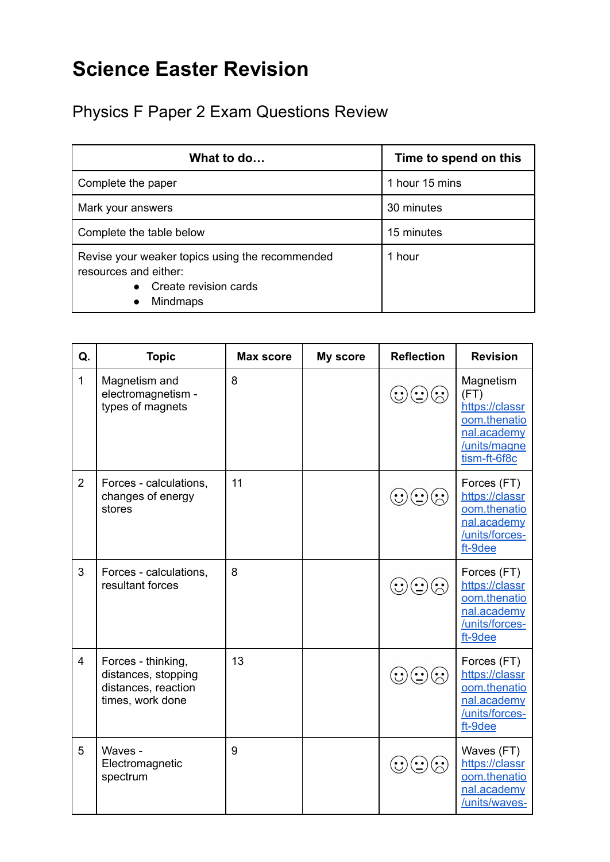## **Science Easter Revision**

Physics F Paper 2 Exam Questions Review

| What to do                                                                                                                        | Time to spend on this |  |
|-----------------------------------------------------------------------------------------------------------------------------------|-----------------------|--|
| Complete the paper                                                                                                                | 1 hour 15 mins        |  |
| Mark your answers                                                                                                                 | 30 minutes            |  |
| Complete the table below                                                                                                          | 15 minutes            |  |
| Revise your weaker topics using the recommended<br>resources and either:<br>Create revision cards<br><b>Mindmaps</b><br>$\bullet$ | 1 hour                |  |

| Q.             | <b>Topic</b>                                                                         | <b>Max score</b> | My score | <b>Reflection</b>                       | <b>Revision</b>                                                                                    |
|----------------|--------------------------------------------------------------------------------------|------------------|----------|-----------------------------------------|----------------------------------------------------------------------------------------------------|
| $\mathbf{1}$   | Magnetism and<br>electromagnetism -<br>types of magnets                              | 8                |          | $(\cdot)$                               | Magnetism<br>(FT)<br>https://classr<br>oom.thenatio<br>nal.academy<br>/units/magne<br>tism-ft-6f8c |
| $\overline{2}$ | Forces - calculations,<br>changes of energy<br>stores                                | 11               |          |                                         | Forces (FT)<br>https://classr<br>oom.thenatio<br>nal.academy<br>/units/forces-<br>ft-9dee          |
| 3              | Forces - calculations,<br>resultant forces                                           | 8                |          | $\left(\boldsymbol{\mathcal{L}}\right)$ | Forces (FT)<br>https://classr<br>oom.thenatio<br>nal.academy<br>/units/forces-<br>ft-9dee          |
| 4              | Forces - thinking,<br>distances, stopping<br>distances, reaction<br>times, work done | 13               |          |                                         | Forces (FT)<br>https://classr<br>oom.thenatio<br>nal.academy<br>/units/forces-<br>ft-9dee          |
| 5              | Waves -<br>Electromagnetic<br>spectrum                                               | 9                |          |                                         | Waves (FT)<br>https://classr<br>oom.thenatio<br>nal.academy<br>/units/waves-                       |